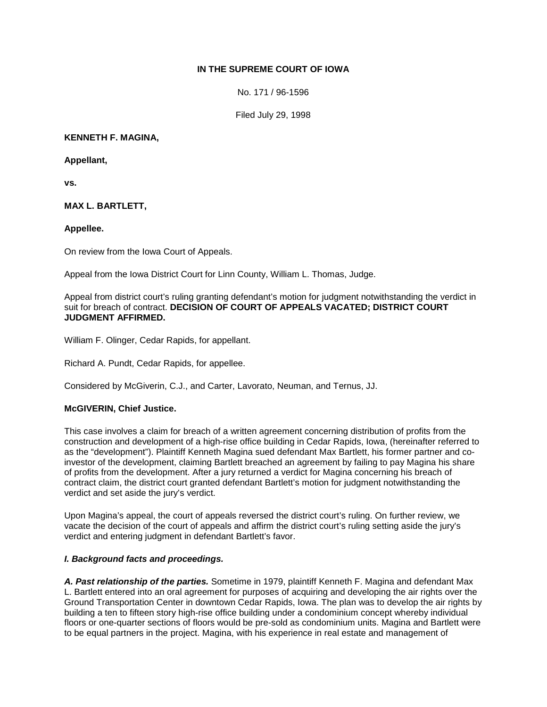# **IN THE SUPREME COURT OF IOWA**

No. 171 / 96-1596

Filed July 29, 1998

## **KENNETH F. MAGINA,**

## **Appellant,**

**vs.**

# **MAX L. BARTLETT,**

## **Appellee.**

On review from the Iowa Court of Appeals.

Appeal from the Iowa District Court for Linn County, William L. Thomas, Judge.

Appeal from district court's ruling granting defendant's motion for judgment notwithstanding the verdict in suit for breach of contract. **DECISION OF COURT OF APPEALS VACATED; DISTRICT COURT JUDGMENT AFFIRMED.** 

William F. Olinger, Cedar Rapids, for appellant.

Richard A. Pundt, Cedar Rapids, for appellee.

Considered by McGiverin, C.J., and Carter, Lavorato, Neuman, and Ternus, JJ.

# **McGIVERIN, Chief Justice.**

This case involves a claim for breach of a written agreement concerning distribution of profits from the construction and development of a high-rise office building in Cedar Rapids, Iowa, (hereinafter referred to as the "development"). Plaintiff Kenneth Magina sued defendant Max Bartlett, his former partner and coinvestor of the development, claiming Bartlett breached an agreement by failing to pay Magina his share of profits from the development. After a jury returned a verdict for Magina concerning his breach of contract claim, the district court granted defendant Bartlett's motion for judgment notwithstanding the verdict and set aside the jury's verdict.

Upon Magina's appeal, the court of appeals reversed the district court's ruling. On further review, we vacate the decision of the court of appeals and affirm the district court's ruling setting aside the jury's verdict and entering judgment in defendant Bartlett's favor.

### *I. Background facts and proceedings.*

*A. Past relationship of the parties.* Sometime in 1979, plaintiff Kenneth F. Magina and defendant Max L. Bartlett entered into an oral agreement for purposes of acquiring and developing the air rights over the Ground Transportation Center in downtown Cedar Rapids, Iowa. The plan was to develop the air rights by building a ten to fifteen story high-rise office building under a condominium concept whereby individual floors or one-quarter sections of floors would be pre-sold as condominium units. Magina and Bartlett were to be equal partners in the project. Magina, with his experience in real estate and management of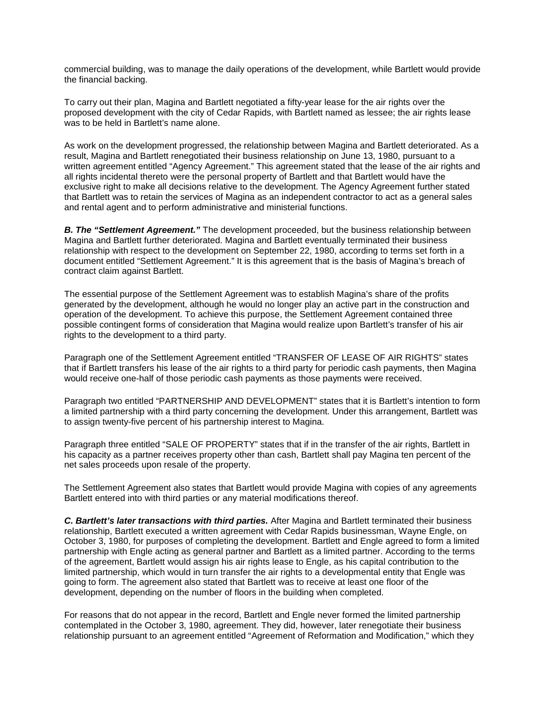commercial building, was to manage the daily operations of the development, while Bartlett would provide the financial backing.

To carry out their plan, Magina and Bartlett negotiated a fifty-year lease for the air rights over the proposed development with the city of Cedar Rapids, with Bartlett named as lessee; the air rights lease was to be held in Bartlett's name alone.

As work on the development progressed, the relationship between Magina and Bartlett deteriorated. As a result, Magina and Bartlett renegotiated their business relationship on June 13, 1980, pursuant to a written agreement entitled "Agency Agreement." This agreement stated that the lease of the air rights and all rights incidental thereto were the personal property of Bartlett and that Bartlett would have the exclusive right to make all decisions relative to the development. The Agency Agreement further stated that Bartlett was to retain the services of Magina as an independent contractor to act as a general sales and rental agent and to perform administrative and ministerial functions.

**B. The "Settlement Agreement."** The development proceeded, but the business relationship between Magina and Bartlett further deteriorated. Magina and Bartlett eventually terminated their business relationship with respect to the development on September 22, 1980, according to terms set forth in a document entitled "Settlement Agreement." It is this agreement that is the basis of Magina's breach of contract claim against Bartlett.

The essential purpose of the Settlement Agreement was to establish Magina's share of the profits generated by the development, although he would no longer play an active part in the construction and operation of the development. To achieve this purpose, the Settlement Agreement contained three possible contingent forms of consideration that Magina would realize upon Bartlett's transfer of his air rights to the development to a third party.

Paragraph one of the Settlement Agreement entitled "TRANSFER OF LEASE OF AIR RIGHTS" states that if Bartlett transfers his lease of the air rights to a third party for periodic cash payments, then Magina would receive one-half of those periodic cash payments as those payments were received.

Paragraph two entitled "PARTNERSHIP AND DEVELOPMENT" states that it is Bartlett's intention to form a limited partnership with a third party concerning the development. Under this arrangement, Bartlett was to assign twenty-five percent of his partnership interest to Magina.

Paragraph three entitled "SALE OF PROPERTY" states that if in the transfer of the air rights, Bartlett in his capacity as a partner receives property other than cash, Bartlett shall pay Magina ten percent of the net sales proceeds upon resale of the property.

The Settlement Agreement also states that Bartlett would provide Magina with copies of any agreements Bartlett entered into with third parties or any material modifications thereof.

*C. Bartlett's later transactions with third parties.* After Magina and Bartlett terminated their business relationship, Bartlett executed a written agreement with Cedar Rapids businessman, Wayne Engle, on October 3, 1980, for purposes of completing the development. Bartlett and Engle agreed to form a limited partnership with Engle acting as general partner and Bartlett as a limited partner. According to the terms of the agreement, Bartlett would assign his air rights lease to Engle, as his capital contribution to the limited partnership, which would in turn transfer the air rights to a developmental entity that Engle was going to form. The agreement also stated that Bartlett was to receive at least one floor of the development, depending on the number of floors in the building when completed.

For reasons that do not appear in the record, Bartlett and Engle never formed the limited partnership contemplated in the October 3, 1980, agreement. They did, however, later renegotiate their business relationship pursuant to an agreement entitled "Agreement of Reformation and Modification," which they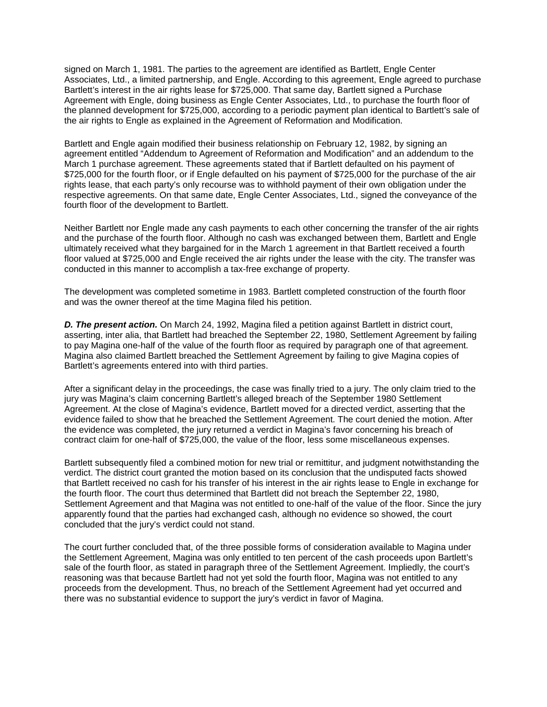signed on March 1, 1981. The parties to the agreement are identified as Bartlett, Engle Center Associates, Ltd., a limited partnership, and Engle. According to this agreement, Engle agreed to purchase Bartlett's interest in the air rights lease for \$725,000. That same day, Bartlett signed a Purchase Agreement with Engle, doing business as Engle Center Associates, Ltd., to purchase the fourth floor of the planned development for \$725,000, according to a periodic payment plan identical to Bartlett's sale of the air rights to Engle as explained in the Agreement of Reformation and Modification.

Bartlett and Engle again modified their business relationship on February 12, 1982, by signing an agreement entitled "Addendum to Agreement of Reformation and Modification" and an addendum to the March 1 purchase agreement. These agreements stated that if Bartlett defaulted on his payment of \$725,000 for the fourth floor, or if Engle defaulted on his payment of \$725,000 for the purchase of the air rights lease, that each party's only recourse was to withhold payment of their own obligation under the respective agreements. On that same date, Engle Center Associates, Ltd., signed the conveyance of the fourth floor of the development to Bartlett.

Neither Bartlett nor Engle made any cash payments to each other concerning the transfer of the air rights and the purchase of the fourth floor. Although no cash was exchanged between them, Bartlett and Engle ultimately received what they bargained for in the March 1 agreement in that Bartlett received a fourth floor valued at \$725,000 and Engle received the air rights under the lease with the city. The transfer was conducted in this manner to accomplish a tax-free exchange of property.

The development was completed sometime in 1983. Bartlett completed construction of the fourth floor and was the owner thereof at the time Magina filed his petition.

*D. The present action.* On March 24, 1992, Magina filed a petition against Bartlett in district court, asserting, inter alia, that Bartlett had breached the September 22, 1980, Settlement Agreement by failing to pay Magina one-half of the value of the fourth floor as required by paragraph one of that agreement. Magina also claimed Bartlett breached the Settlement Agreement by failing to give Magina copies of Bartlett's agreements entered into with third parties.

After a significant delay in the proceedings, the case was finally tried to a jury. The only claim tried to the jury was Magina's claim concerning Bartlett's alleged breach of the September 1980 Settlement Agreement. At the close of Magina's evidence, Bartlett moved for a directed verdict, asserting that the evidence failed to show that he breached the Settlement Agreement. The court denied the motion. After the evidence was completed, the jury returned a verdict in Magina's favor concerning his breach of contract claim for one-half of \$725,000, the value of the floor, less some miscellaneous expenses.

Bartlett subsequently filed a combined motion for new trial or remittitur, and judgment notwithstanding the verdict. The district court granted the motion based on its conclusion that the undisputed facts showed that Bartlett received no cash for his transfer of his interest in the air rights lease to Engle in exchange for the fourth floor. The court thus determined that Bartlett did not breach the September 22, 1980, Settlement Agreement and that Magina was not entitled to one-half of the value of the floor. Since the jury apparently found that the parties had exchanged cash, although no evidence so showed, the court concluded that the jury's verdict could not stand.

The court further concluded that, of the three possible forms of consideration available to Magina under the Settlement Agreement, Magina was only entitled to ten percent of the cash proceeds upon Bartlett's sale of the fourth floor, as stated in paragraph three of the Settlement Agreement. Impliedly, the court's reasoning was that because Bartlett had not yet sold the fourth floor, Magina was not entitled to any proceeds from the development. Thus, no breach of the Settlement Agreement had yet occurred and there was no substantial evidence to support the jury's verdict in favor of Magina.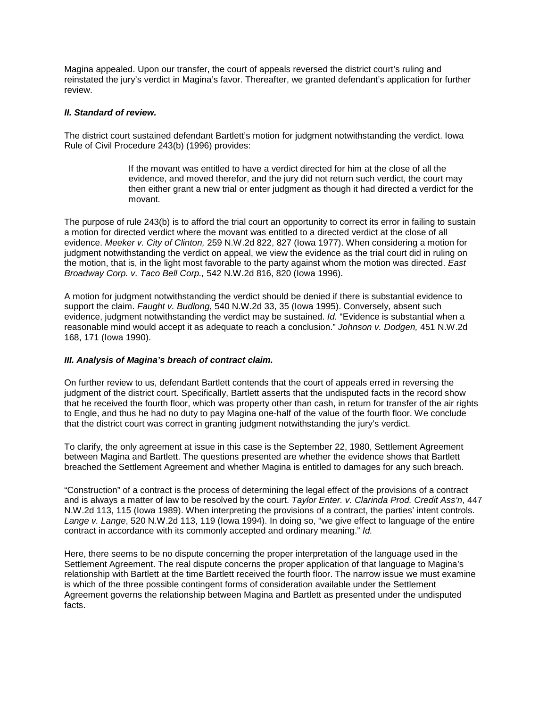Magina appealed. Upon our transfer, the court of appeals reversed the district court's ruling and reinstated the jury's verdict in Magina's favor. Thereafter, we granted defendant's application for further review.

### *II. Standard of review.*

The district court sustained defendant Bartlett's motion for judgment notwithstanding the verdict. Iowa Rule of Civil Procedure 243(b) (1996) provides:

> If the movant was entitled to have a verdict directed for him at the close of all the evidence, and moved therefor, and the jury did not return such verdict, the court may then either grant a new trial or enter judgment as though it had directed a verdict for the movant.

The purpose of rule 243(b) is to afford the trial court an opportunity to correct its error in failing to sustain a motion for directed verdict where the movant was entitled to a directed verdict at the close of all evidence. *Meeker v. City of Clinton,* 259 N.W.2d 822, 827 (Iowa 1977). When considering a motion for judgment notwithstanding the verdict on appeal, we view the evidence as the trial court did in ruling on the motion, that is, in the light most favorable to the party against whom the motion was directed. *East Broadway Corp. v. Taco Bell Corp.,* 542 N.W.2d 816, 820 (Iowa 1996).

A motion for judgment notwithstanding the verdict should be denied if there is substantial evidence to support the claim. *Faught v. Budlong*, 540 N.W.2d 33, 35 (Iowa 1995). Conversely, absent such evidence, judgment notwithstanding the verdict may be sustained. *Id.* "Evidence is substantial when a reasonable mind would accept it as adequate to reach a conclusion." *Johnson v. Dodgen,* 451 N.W.2d 168, 171 (Iowa 1990).

### *III. Analysis of Magina's breach of contract claim.*

On further review to us, defendant Bartlett contends that the court of appeals erred in reversing the judgment of the district court. Specifically, Bartlett asserts that the undisputed facts in the record show that he received the fourth floor, which was property other than cash, in return for transfer of the air rights to Engle, and thus he had no duty to pay Magina one-half of the value of the fourth floor. We conclude that the district court was correct in granting judgment notwithstanding the jury's verdict.

To clarify, the only agreement at issue in this case is the September 22, 1980, Settlement Agreement between Magina and Bartlett. The questions presented are whether the evidence shows that Bartlett breached the Settlement Agreement and whether Magina is entitled to damages for any such breach.

"Construction" of a contract is the process of determining the legal effect of the provisions of a contract and is always a matter of law to be resolved by the court. *Taylor Enter. v. Clarinda Prod. Credit Ass'n*, 447 N.W.2d 113, 115 (Iowa 1989). When interpreting the provisions of a contract, the parties' intent controls. *Lange v. Lange*, 520 N.W.2d 113, 119 (Iowa 1994). In doing so, "we give effect to language of the entire contract in accordance with its commonly accepted and ordinary meaning." *Id.*

Here, there seems to be no dispute concerning the proper interpretation of the language used in the Settlement Agreement. The real dispute concerns the proper application of that language to Magina's relationship with Bartlett at the time Bartlett received the fourth floor. The narrow issue we must examine is which of the three possible contingent forms of consideration available under the Settlement Agreement governs the relationship between Magina and Bartlett as presented under the undisputed facts.